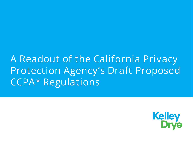A Readout of the California Privacy Protection Agency's Draft Proposed CCPA\* Regulations

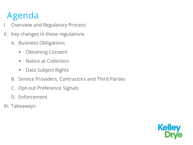#### Agenda

- I. Overview and Regulatory Process
- II. Key changes in these regulations
	- A. Business Obligations
		- Obtaining Consent
		- Notice at Collection
		- Data Subject Rights
	- B. Service Providers, Contractors and Third Parties
	- C. Opt-out Preference Signals
	- D. Enforcement
- III. Takeaways

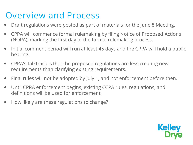#### Overview and Process

- Draft regulations were posted as part of materials for the June 8 Meeting.
- CPPA will commence formal rulemaking by filing Notice of Proposed Actions (NOPA), marking the first day of the formal rulemaking process.
- Initial comment period will run at least 45 days and the CPPA will hold a public hearing.
- CPPA's talktrack is that the proposed regulations are less creating new requirements than clarifying existing requirements.
- Final rules will not be adopted by July 1, and not enforcement before then.
- Until CPRA enforcement begins, existing CCPA rules, regulations, and definitions will be used for enforcement.
- How likely are these regulations to change?

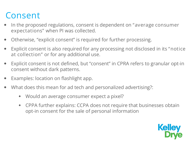#### Consent

- In the proposed regulations, consent is dependent on "average consumer expectations" when PI was collected.
- Otherwise, "explicit consent" is required for further processing.
- Explicit consent is also required for any processing not disclosed in its "notice at collection" or for any additional use.
- Explicit consent is not defined, but "consent" in CPRA refers to granular opt-in consent without dark patterns.
- Examples: location on flashlight app.
- What does this mean for ad tech and personalized advertising?:
	- Would an average consumer expect a pixel?
	- CPPA further explains: CCPA does not require that businesses obtain opt-in consent for the sale of personal information

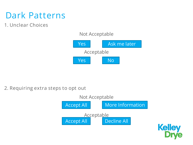#### Dark Patterns

1. Unclear Choices

#### Not Acceptable



2. Requiring extra steps to opt out



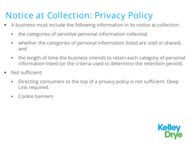#### Notice at Collection: Privacy Policy

- A business must include the following information in its notice at collection:
	- the categories of sensitive personal information collected;
	- whether the categories of personal information listed are sold or shared; and
	- the length of time the business intends to retain each category of personal information listed (or the criteria used to determine the retention period).
- Not sufficient:
	- Directing consumers to the top of a privacy policy is not sufficient. Deep Link required.
	- Cookie banners

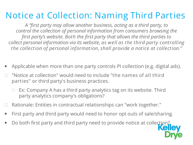#### Notice at Collection: Naming Third Parties

*A "first party may allow another business, acting as a third party, to control the collection of personal information from consumers browsing the first party's website. Both the first party that allows the third parties to collect personal information via its website, as well as the third party controlling the collection of personal information, shall provide a notice at collection."*

- Applicable when more than one party controls PI collection (e.g. digital ads).
- "Notice at collection" would need to include "the names of all third parties" or third party's business practices.
	- Ex: Company A has a third party analytics tag on its website. Third party analytics company's obligations?
- Rationale: Entities in contractual relationships can "work together."
- First party and third party would need to honor opt outs of sale/sharing.
- Do both first party and third party need to provide notice at collection?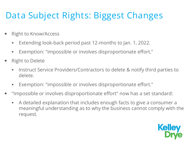#### Data Subject Rights: Biggest Changes

- Right to Know/Access
	- Extending look-back period past 12-months to Jan. 1, 2022.
	- Exemption: "impossible or involves disproportionate effort."
- Right to Delete
	- **Instruct Service Providers/Contractors to delete & notify third parties to** delete.
	- Exemption: "impossible or involves disproportionate effort."
- "Impossible or involves disproportionate effort" now has a set standard:
	- A detailed explanation that includes enough facts to give a consumer a meaningful understanding as to why the business cannot comply with the request*.*

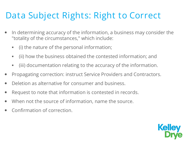#### Data Subject Rights: Right to Correct

- In determining accuracy of the information, a business may consider the "totality of the circumstances," which include:
	- (i) the nature of the personal information;
	- (ii) how the business obtained the contested information; and
	- (iii) documentation relating to the accuracy of the information.
- Propagating correction: instruct Service Providers and Contractors.
- Deletion as alternative for consumer and business.
- Request to note that information is contested in records.
- When not the source of information, name the source.
- Confirmation of correction.

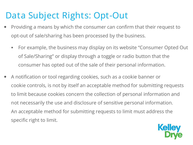#### Data Subject Rights: Opt-Out

- Providing a means by which the consumer can confirm that their request to opt-out of sale/sharing has been processed by the business.
	- For example, the business may display on its website "Consumer Opted Out of Sale/Sharing" or display through a toggle or radio button that the consumer has opted out of the sale of their personal information.
- A notification or tool regarding cookies, such as a cookie banner or cookie controls, is not by itself an acceptable method for submitting requests to limit because cookies concern the collection of personal information and not necessarily the use and disclosure of sensitive personal information. An acceptable method for submitting requests to limit must address the specific right to limit.

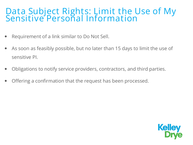#### Data Subject Rights: Limit the Use of My Sensitive Personal Information

- Requirement of a link similar to Do Not Sell.
- As soon as feasibly possible, but no later than 15 days to limit the use of sensitive PI.
- Obligations to notify service providers, contractors, and third parties.
- Offering a confirmation that the request has been processed.

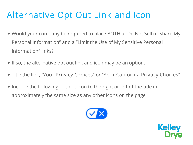#### Alternative Opt Out Link and Icon

- Would your company be required to place BOTH a "Do Not Sell or Share My Personal Information" and a "Limit the Use of My Sensitive Personal Information" links?
- If so, the alternative opt out link and icon may be an option.
- Title the link, "Your Privacy Choices" or "Your California Privacy Choices"
- Include the following opt-out icon to the right or left of the title in approximately the same size as any other icons on the page



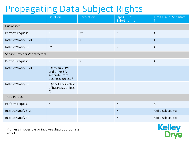#### Propagating Data Subject Rights

|                               | Deletion                                                                  | Correction   | Opt-Out of<br>Sale/Sharing | Limit Use of Sensitive<br>P <sub>1</sub> |
|-------------------------------|---------------------------------------------------------------------------|--------------|----------------------------|------------------------------------------|
| <b>Businesses</b>             |                                                                           |              |                            |                                          |
| Perform request               | $\sf X$                                                                   | $X^*$        | $\chi$                     | $\chi$                                   |
| Instruct/Notify SP/K          | $\mathsf{X}$                                                              | $\mathsf{X}$ |                            | $\mathsf{X}$                             |
| Instruct/Notify 3P            | $\mathsf{X}^{\star}$                                                      |              | $\sf X$                    | $\sf X$                                  |
| Service Providers/Contractors |                                                                           |              |                            |                                          |
| Perform request               | $\sf X$                                                                   | $\chi$       |                            | $\chi$                                   |
| Instruct/Notify SP/K          | X (any sub SP/K<br>and other SP/K<br>separate from<br>business, unless *) |              |                            |                                          |
| Instruct/Notify 3P            | X (if not at direction<br>of business, unless<br>$\star$ )                |              |                            |                                          |
| <b>Third Parties</b>          |                                                                           |              |                            |                                          |
| Perform request               | $\sf X$                                                                   |              | $\boldsymbol{\mathsf{X}}$  | $\mathsf{X}$                             |
| Instruct/Notify SP/K          |                                                                           |              | $\mathsf{X}$               | X (if disclosed to)                      |
| Instruct/Notify 3P            |                                                                           |              | $\boldsymbol{\mathsf{X}}$  | X (if disclosed to)                      |

\* unless impossible or involves disproportionate effort

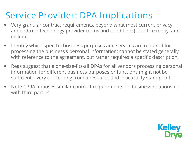#### Service Provider: DPA Implications

- Very granular contract requirements, beyond what most current privacy addenda (or technology provider terms and conditions) look like today, and include:
- Identify which specific business purposes and services are required for processing the business's personal information; cannot be stated generally with reference to the agreement, but rather requires a specific description.
- Regs suggest that a one-size-fits-all DPAs for all vendors processing personal information for different business purposes or functions might not be sufficient—very concerning from a resource and practicality standpoint.
- Note CPRA imposes similar contract requirements on business relationship with third parties.

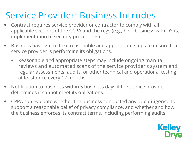#### Service Provider: Business Intrudes

- Contract requires service provider or contractor to comply with all applicable sections of the CCPA and the regs (e.g., help business with DSRs; implementation of security procedures).
- Business has right to take reasonable and appropriate steps to ensure that service provider is performing its obligations.
	- Reasonable and appropriate steps may include ongoing manual reviews and automated scans of the service provider's system and regular assessments, audits, or other technical and operational testing at least once every 12 months.
- Notification to business within 5 business days if the service provider determines it cannot meet its obligations.
- CPPA can evaluate whether the business conducted any due diligence to support a reasonable belief of privacy compliance, and whether and how the business enforces its contract terms, including performing audits.

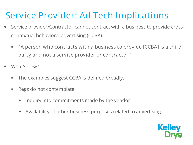#### Service Provider: Ad Tech Implications

- Service provider/Contractor cannot contract with a business to provide crosscontextual behavioral advertising (CCBA).
	- "A person who contracts with a business to provide [CCBA] is a third party and not a service provider or contractor."
- What's new?
	- The examples suggest CCBA is defined broadly.
	- Regs do not contemplate:
		- $\bullet$  Inquiry into commitments made by the vendor.
		- Availability of other business purposes related to advertising.

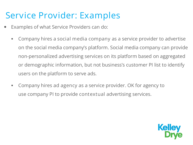#### Service Provider: Examples

- Examples of what Service Providers can do:
	- Company hires a social media company as a service provider to advertise on the social media company's platform. Social media company can provide non-personalized advertising services on its platform based on aggregated or demographic information, but not business's customer PI list to identify users on the platform to serve ads.
	- Company hires ad agency as a service provider. OK for agency to use company PI to provide contextual advertising services.

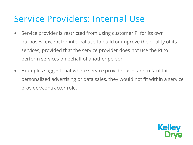#### Service Providers: Internal Use

- Service provider is restricted from using customer PI for its own purposes, except for internal use to build or improve the quality of its services, provided that the service provider does not use the PI to perform services on behalf of another person.
- Examples suggest that where service provider uses are to facilitate personalized advertising or data sales, they would not fit within a service provider/contractor role.

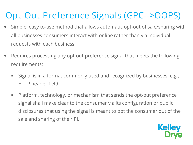#### Opt-Out Preference Signals (GPC-->OOPS)

- Simple, easy to-use method that allows automatic opt-out of sale/sharing with all businesses consumers interact with online rather than via individual requests with each business.
- Requires processing any opt-out preference signal that meets the following requirements:
	- Signal is in a format commonly used and recognized by businesses, e.g., HTTP header field.
	- Platform, technology, or mechanism that sends the opt-out preference signal shall make clear to the consumer via its configuration or public disclosures that using the signal is meant to opt the consumer out of the sale and sharing of their PI.

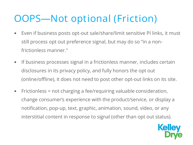### OOPS—Not optional (Friction)

- Even if business posts opt-out sale/share/limit sensitive PI links, it must still process opt out preference signal, but may do so "in a nonfrictionless manner."
- If business processes signal in a frictionless manner, includes certain disclosures in its privacy policy, and fully honors the opt out (online/offline), it does not need to post other opt-out links on its site.
- Frictionless = not charging a fee/requiring valuable consideration, change consumer's experience with the product/service, or display a notification, pop-up, text, graphic, animation, sound, video, or any interstitial content in response to signal (other than opt out status).

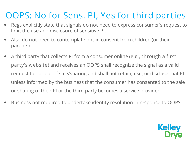#### OOPS: No for Sens. PI, Yes for third parties

- Regs explicitly state that signals do not need to express consumer's request to limit the use and disclosure of sensitive PI.
- Also do not need to contemplate opt-in consent from children (or their parents).
- A third party that collects PI from a consumer online (e.g., through a first party's website) and receives an OOPS shall recognize the signal as a valid request to opt-out of sale/sharing and shall not retain, use, or disclose that PI unless informed by the business that the consumer has consented to the sale or sharing of their PI or the third party becomes a service provider.
- Business not required to undertake identity resolution in response to OOPS.

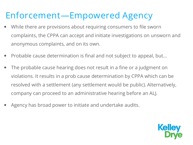#### Enforcement—Empowered Agency

- While there are provisions about requiring consumers to file sworn complaints, the CPPA can accept and initiate investigations on unsworn and anonymous complaints, and on its own.
- Probable cause determination is final and not subject to appeal, but...
- The probable cause hearing does not result in a fine or a judgment on violations. It results in a prob cause determination by CPPA which can be resolved with a settlement (any settlement would be public). Alternatively, company can proceed to an administrative hearing before an ALJ.
- Agency has broad power to initiate and undertake audits.

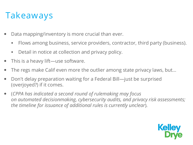#### Takeaways

- Data mapping/inventory is more crucial than ever.
	- Flows among business, service providers, contractor, third party (business).
	- **Detail in notice at collection and privacy policy.**
- This is a heavy lift—use software.
- The regs make Calif even more the outlier among state privacy laws, but...
- Don't delay preparation waiting for a Federal Bill—just be surprised (overjoyed?) if it comes.
- (*CPPA has indicated a second round of rulemaking may focus on automated decisionmaking, cybersecurity audits, and privacy risk assessments; the timeline for issuance of additional rules is currently unclear*).

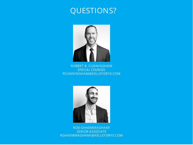#### QUESTIONS?



ROBERT B. CUNNINGHAM *SPECIAL COUNSEL* RCUNNINGHAM@KELLEYDRYE.COM



ROD GHAEMMAGHAMI *SENIOR ASSOCIATE* RGHAEMMAGHAMI@KELLEYDRYE.COM